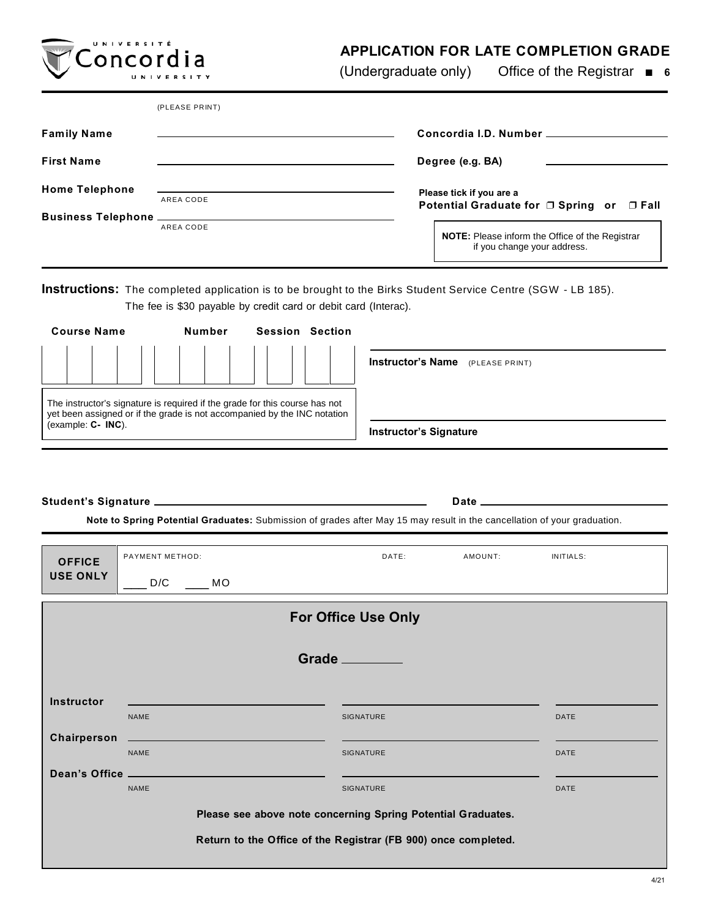## **APPLICATION FOR LATE COMPLETION GRADE**

(Undergraduate only) Office of the Registrar **6**

|                                  | (PLEASE PRINT) |                                                                                       |  |
|----------------------------------|----------------|---------------------------------------------------------------------------------------|--|
| <b>Family Name</b>               |                | Concordia I.D. Number _______                                                         |  |
| <b>First Name</b>                |                | Degree (e.g. BA)                                                                      |  |
| <b>Home Telephone</b>            | AREA CODE      | Please tick if you are a<br>Potential Graduate for □ Spring or<br>$\Box$ Fall         |  |
| <b>Business Telephone</b> ______ | AREA CODE      | <b>NOTE:</b> Please inform the Office of the Registrar<br>if you change your address. |  |

**Instructions:** The completed application is to be brought to the Birks Student Service Centre (SGW - LB 185). The fee is \$30 payable by credit card or debit card (Interac).

| <b>Course Name</b>                                                                                                                                      | Number | <b>Session</b> | Section                       |                                            |
|---------------------------------------------------------------------------------------------------------------------------------------------------------|--------|----------------|-------------------------------|--------------------------------------------|
|                                                                                                                                                         |        |                |                               | <b>Instructor's Name</b><br>(PLEASE PRINT) |
| The instructor's signature is required if the grade for this course has not<br>yet been assigned or if the grade is not accompanied by the INC notation |        |                |                               |                                            |
| (example: $C - INC$ ).                                                                                                                                  |        |                | <b>Instructor's Signature</b> |                                            |

**Student's Signature** <u>**Date**</u> **Date Date Date Date Date Date Date Date Date Date Date Date Date Date Date Date Date Date Date Date Date Date Date D** 

**UNIVERSITÉ** Concordia

**Note to Spring Potential Graduates:** Submission of grades after May 15 may result in the cancellation of your graduation.

| <b>OFFICE</b>                                                  | PAYMENT METHOD:                                                       | DATE:            | AMOUNT: | INITIALS:   |  |  |  |
|----------------------------------------------------------------|-----------------------------------------------------------------------|------------------|---------|-------------|--|--|--|
| <b>USE ONLY</b>                                                | D/C<br><b>MO</b>                                                      |                  |         |             |  |  |  |
| <b>For Office Use Only</b>                                     |                                                                       |                  |         |             |  |  |  |
| Grade _______                                                  |                                                                       |                  |         |             |  |  |  |
| <b>Instructor</b>                                              |                                                                       |                  |         |             |  |  |  |
|                                                                | <b>NAME</b>                                                           | <b>SIGNATURE</b> |         | <b>DATE</b> |  |  |  |
| Chairperson                                                    | <u> 1989 - Jan Barnett, fransk politiker (d. 1989)</u><br><b>NAME</b> | SIGNATURE        |         | <b>DATE</b> |  |  |  |
|                                                                |                                                                       |                  |         |             |  |  |  |
| <b>NAME</b><br><b>SIGNATURE</b><br><b>DATE</b>                 |                                                                       |                  |         |             |  |  |  |
| Please see above note concerning Spring Potential Graduates.   |                                                                       |                  |         |             |  |  |  |
| Return to the Office of the Registrar (FB 900) once completed. |                                                                       |                  |         |             |  |  |  |